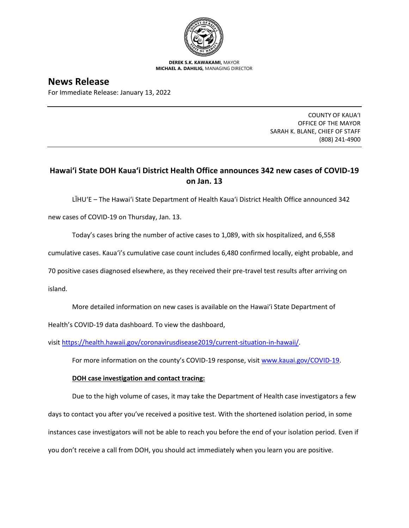

**DEREK S.K. KAWAKAMI,** MAYOR **MICHAEL A. DAHILIG,** MANAGING DIRECTOR

## **News Release**

For Immediate Release: January 13, 2022

COUNTY OF KAUA'I OFFICE OF THE MAYOR SARAH K. BLANE, CHIEF OF STAFF (808) 241-4900

## **Hawai'i State DOH Kaua'i District Health Office announces 342 new cases of COVID-19 on Jan. 13**

LĪHU'E – The Hawai'i State Department of Health Kaua'i District Health Office announced 342

new cases of COVID-19 on Thursday, Jan. 13.

Today's cases bring the number of active cases to 1,089, with six hospitalized, and 6,558

cumulative cases. Kaua'i's cumulative case count includes 6,480 confirmed locally, eight probable, and

70 positive cases diagnosed elsewhere, as they received their pre-travel test results after arriving on

island.

More detailed information on new cases is available on the Hawai'i State Department of

Health's COVID-19 data dashboard. To view the dashboard,

visit [https://health.hawaii.gov/coronavirusdisease2019/current-situation-in-hawaii/.](https://health.hawaii.gov/coronavirusdisease2019/current-situation-in-hawaii/)

For more information on the county's COVID-19 response, visit [www.kauai.gov/COVID-19.](https://urldefense.com/v3/__http:/www.kauai.gov/COVID-19__;!!LIYSdFfckKA!l4A5nHuw73q2ubt1jVfVpBxrgAoeT-qm9LHA2X0eDo7DmU1d8EztTez1J2SRjWo05uCKvMiUtA$)

## **DOH case investigation and contact tracing:**

Due to the high volume of cases, it may take the Department of Health case investigators a few days to contact you after you've received a positive test. With the shortened isolation period, in some instances case investigators will not be able to reach you before the end of your isolation period. Even if you don't receive a call from DOH, you should act immediately when you learn you are positive.